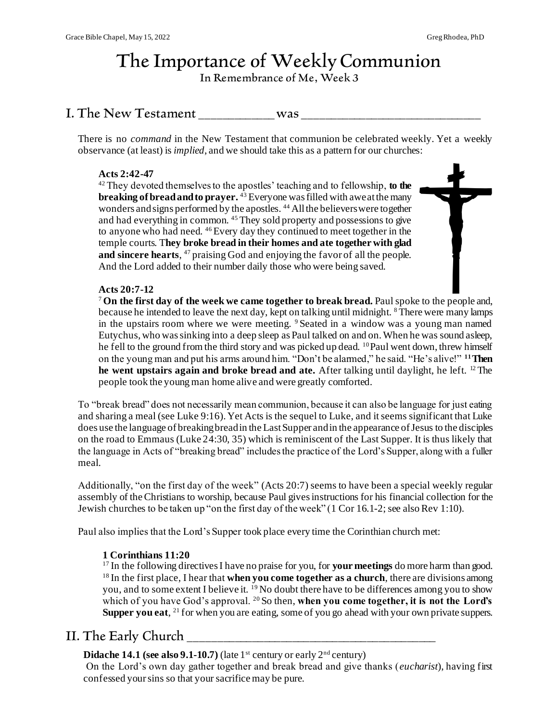# The Importance of Weekly Communion

In Remembrance of Me, Week 3

## I. The New Testament was  $\blacksquare$

There is no *command* in the New Testament that communion be celebrated weekly. Yet a weekly observance (at least) is *implied*, and we should take this as a pattern for our churches:

## **Acts 2:42-47**

<sup>42</sup> They devoted themselves to the apostles' teaching and to fellowship, **to the breaking of bread and to prayer.** <sup>43</sup> Everyone was filled with awe at the many wonders and signs performed by the apostles. <sup>44</sup> All the believers were together and had everything in common. <sup>45</sup> They sold property and possessions to give to anyone who had need. <sup>46</sup> Every day they continued to meet together in the temple courts. T**hey broke bread in their homes and ate together with glad**  and sincere hearts, <sup>47</sup> praising God and enjoying the favor of all the people. And the Lord added to their number daily those who were being saved.

## **Acts 20:7-12**

<sup>7</sup> **On the first day of the week we came together to break bread.** Paul spoke to the people and, because he intended to leave the next day, kept on talking until midnight. <sup>8</sup> There were many lamps in the upstairs room where we were meeting. <sup>9</sup> Seated in a window was a young man named Eutychus, who was sinking into a deep sleep as Paul talked on and on. When he was sound asleep, he fell to the ground from the third story and was picked up dead. <sup>10</sup>Paul went down, threw himself on the young man and put his arms around him. "Don't be alarmed," he said. "He's alive!" **<sup>11</sup>Then he went upstairs again and broke bread and ate.** After talking until daylight, he left. <sup>12</sup> The people took the young man home alive and were greatly comforted.

To "break bread" does not necessarily mean communion, because it can also be language for just eating and sharing a meal (see Luke 9:16). Yet Acts is the sequel to Luke, and it seems significant that Luke does use the language of breaking bread in the Last Supper and in the appearance of Jesus to the disciples on the road to Emmaus (Luke 24:30, 35) which is reminiscent of the Last Supper. It is thus likely that the language in Acts of "breaking bread" includes the practice of the Lord's Supper, along with a fuller meal.

Additionally, "on the first day of the week" (Acts 20:7) seems to have been a special weekly regular assembly of the Christians to worship, because Paul gives instructions for his financial collection for the Jewish churches to be taken up "on the first day of the week" (1 Cor 16.1-2; see also Rev 1:10).

Paul also implies that the Lord's Supper took place every time the Corinthian church met:

## **1 Corinthians 11:20**

<sup>17</sup> In the following directives I have no praise for you, for **your meetings** do more harm than good. <sup>18</sup> In the first place, I hear that **when you come together as a church**, there are divisions among you, and to some extent I believe it. <sup>19</sup> No doubt there have to be differences among you to show which of you have God's approval. <sup>20</sup> So then, when you come together, it is not the Lord's Supper you eat, <sup>21</sup> for when you are eating, some of you go ahead with your own private suppers.

## II. The Early Church

**Didache 14.1 (see also 9.1-10.7)** (late 1<sup>st</sup> century or early  $2^{nd}$  century)

On the Lord's own day gather together and break bread and give thanks (*eucharist*), having first confessed your sins so that your sacrifice may be pure.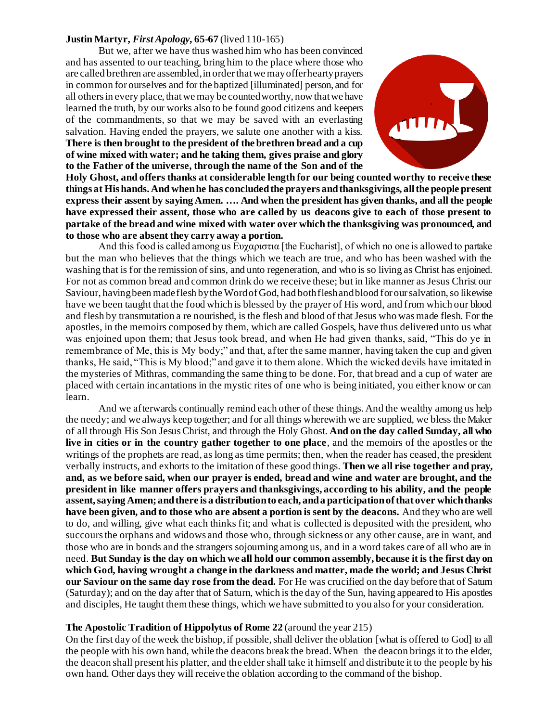#### **Justin Martyr,** *First Apology,* **65-67** (lived 110-165)

But we, after we have thus washed him who has been convinced and has assented to our teaching, bring him to the place where those who are called brethren are assembled, in order that we may offer hearty prayers in common for ourselves and for the baptized [illuminated] person, and for all others in every place, that we may be counted worthy, now that we have learned the truth, by our works also to be found good citizens and keepers of the commandments, so that we may be saved with an everlasting salvation. Having ended the prayers, we salute one another with a kiss. **There is then brought to the president of the brethren bread and a cup of wine mixed with water; and he taking them, gives praise and glory to the Father of the universe, through the name of the Son and of the** 



**Holy Ghost, and offers thanks at considerable length for our being counted worthy to receive these things at His hands. And when he has concluded the prayers and thanksgivings, all the people present express their assent by saying Amen. …. And when the president has given thanks, and all the people have expressed their assent, those who are called by us deacons give to each of those present to partake of the bread and wine mixed with water over which the thanksgiving was pronounced, and to those who are absent they carry away a portion.**

And this food is called among us Ευγαριστια [the Eucharist], of which no one is allowed to partake but the man who believes that the things which we teach are true, and who has been washed with the washing that is for the remission of sins, and unto regeneration, and who is so living as Christ has enjoined. For not as common bread and common drink do we receive these; but in like manner as Jesus Christ our Saviour, having been made flesh by the Word of God, had both flesh and blood for our salvation, so likewise have we been taught that the food which is blessed by the prayer of His word, and from which our blood and flesh by transmutation a re nourished, is the flesh and blood of that Jesus who was made flesh. For the apostles, in the memoirs composed by them, which are called Gospels, have thus delivered unto us what was enjoined upon them; that Jesus took bread, and when He had given thanks, said, "This do ye in remembrance of Me, this is My body;" and that, after the same manner, having taken the cup and given thanks, He said, "This is My blood;" and gave it to them alone. Which the wicked devils have imitated in the mysteries of Mithras, commanding the same thing to be done. For, that bread and a cup of water are placed with certain incantations in the mystic rites of one who is being initiated, you either know or can learn.

And we afterwards continually remind each other of these things. And the wealthy among us help the needy; and we always keep together; and for all things wherewith we are supplied, we bless the Maker of all through His Son Jesus Christ, and through the Holy Ghost. **And on the day called Sunday, all who live in cities or in the country gather together to one place**, and the memoirs of the apostles or the writings of the prophets are read, as long as time permits; then, when the reader has ceased, the president verbally instructs, and exhorts to the imitation of these good things. **Then we all rise together and pray, and, as we before said, when our prayer is ended, bread and wine and water are brought, and the president in like manner offers prayers and thanksgivings, according to his ability, and the people assent, saying Amen; and there is a distribution to each, and a participation of that over which thanks have been given, and to those who are absent a portion is sent by the deacons.** And they who are well to do, and willing, give what each thinks fit; and what is collected is deposited with the president, who succours the orphans and widows and those who, through sickness or any other cause, are in want, and those who are in bonds and the strangers sojourning among us, and in a word takes care of all who are in need. **But Sunday is the day on which we all hold our common assembly, because it is the first day on which God, having wrought a change in the darkness and matter, made the world; and Jesus Christ our Saviour on the same day rose from the dead.** For He was crucified on the day before that of Saturn (Saturday); and on the day after that of Saturn, which is the day of the Sun, having appeared to His apostles and disciples, He taught them these things, which we have submitted to you also for your consideration.

#### **The Apostolic Tradition of Hippolytus of Rome 22** (around the year 215)

On the first day of the week the bishop, if possible, shall deliver the oblation [what is offered to God] to all the people with his own hand, while the deacons break the bread. When the deacon brings it to the elder, the deacon shall present his platter, and the elder shall take it himself and distribute it to the people by his own hand. Other days they will receive the oblation according to the command of the bishop.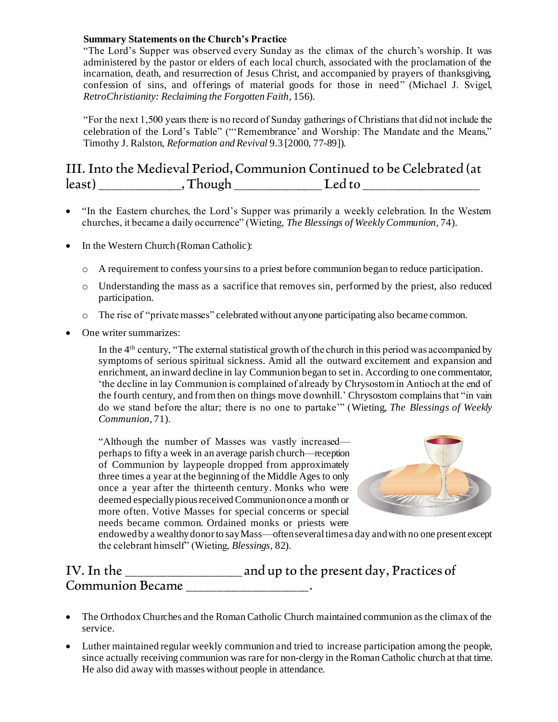## **Summary Statements on the Church's Practice**

"The Lord's Supper was observed every Sunday as the climax of the church's worship. It was administered by the pastor or elders of each local church, associated with the proclamation of the incarnation, death, and resurrection of Jesus Christ, and accompanied by prayers of thanksgiving, confession of sins, and offerings of material goods for those in need" (Michael J. Svigel, *RetroChristianity: Reclaiming the Forgotten Faith,* 156).

"For the next 1,500 years there is no record of Sunday gatherings of Christians that did not include the celebration of the Lord's Table" ("'Remembrance' and Worship: The Mandate and the Means," Timothy J. Ralston, *Reformation and Revival* 9.3 [2000, 77-89]).

## III. Into the Medieval Period, Communion Continued to be Celebrated (at least) \_\_\_\_\_\_\_\_\_\_\_\_\_\_, Though \_\_\_\_\_\_\_\_\_\_\_\_\_\_\_ Led to \_\_\_\_\_\_\_\_\_\_\_\_\_\_\_\_\_\_\_\_

- "In the Eastern churches, the Lord's Supper was primarily a weekly celebration. In the Western churches, it became a daily occurrence" (Wieting, *The Blessings of Weekly Communion,* 74).
- In the Western Church (Roman Catholic):
	- o A requirement to confess your sins to a priest before communion began to reduce participation.
	- o Understanding the mass as a sacrifice that removes sin, performed by the priest, also reduced participation.
	- o The rise of "private masses" celebrated without anyone participating also became common.
- One writer summarizes:

In the 4th century, "The external statistical growth of the church in this period was accompanied by symptoms of serious spiritual sickness. Amid all the outward excitement and expansion and enrichment, an inward decline in lay Communion began to set in. According to one commentator, 'the decline in lay Communion is complained of already by Chrysostom in Antioch at the end of the fourth century, and from then on things move downhill.' Chrysostom complains that "in vain do we stand before the altar; there is no one to partake'" (Wieting, *The Blessings of Weekly Communion,* 71).

"Although the number of Masses was vastly increased perhaps to fifty a week in an average parish church—reception of Communion by laypeople dropped from approximately three times a year at the beginning of the Middle Ages to only once a year after the thirteenth century. Monks who were deemed especially pious received Communion once a month or more often. Votive Masses for special concerns or special needs became common. Ordained monks or priests were



endowed by a wealthy donor to say Mass—often several times a day and with no one present except the celebrant himself" (Wieting, *Blessings,* 82).

| IV. In the              | and up to the present day, Practices of |
|-------------------------|-----------------------------------------|
| <b>Communion Became</b> |                                         |

- The Orthodox Churches and the Roman Catholic Church maintained communion as the climax of the service.
- Luther maintained regular weekly communion and tried to increase participation among the people, since actually receiving communion was rare for non-clergy in the Roman Catholic church at that time. He also did away with masses without people in attendance.